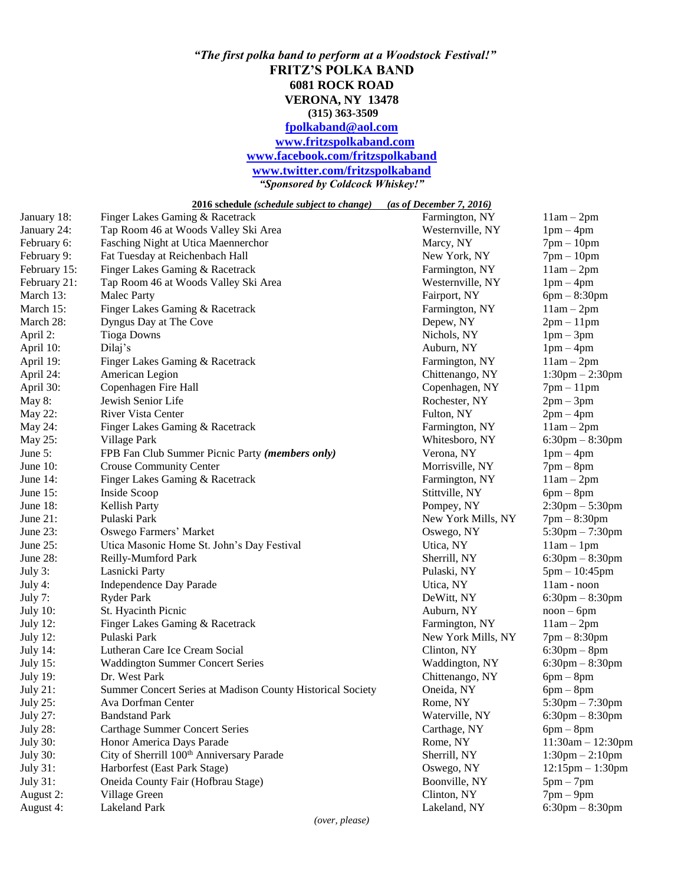## *"The first polka band to perform at a Woodstock Festival!"* **FRITZ'S POLKA BAND 6081 ROCK ROAD VERONA, NY 13478 (315) 363-3509 [fpolkaband@aol.com](mailto:fpolkaband@aol.com) [www.fritzspolkaband.com](http://www.fritzspolkaband.com/) [www.facebook.com/fritzspolkaband](http://www.facebook.com/fritzspolkaband) [www.twitter.com/fritzspolkaband](http://www.twitter.com/fritzspolkaband)** *"Sponsored by Coldcock Whiskey!"*

**2016 schedule** *(schedule subject to change) (as of December 7, 2016)*

| January 24:<br>Tap Room 46 at Woods Valley Ski Area<br>Westernville, NY<br>$1pm-4pm$<br>Marcy, NY<br>February 6:<br>Fasching Night at Utica Maennerchor<br>$7pm-10pm$<br>Fat Tuesday at Reichenbach Hall<br>New York, NY<br>February 9:<br>$7pm-10pm$<br>Finger Lakes Gaming & Racetrack<br>February 15:<br>Farmington, NY<br>$11am - 2pm$<br>Westernville, NY<br>$1pm-4pm$<br>February 21:<br>Tap Room 46 at Woods Valley Ski Area<br>March 13:<br><b>Malec Party</b><br>Fairport, NY<br>$6pm - 8:30pm$<br>March 15:<br>Finger Lakes Gaming & Racetrack<br>Farmington, NY<br>$11am - 2pm$<br>Dyngus Day at The Cove<br>March 28:<br>Depew, NY<br>$2pm-11pm$<br>April 2:<br><b>Tioga Downs</b><br>Nichols, NY<br>$1pm-3pm$<br>April 10:<br>Dilaj's<br>$1pm-4pm$<br>Auburn, NY<br>Finger Lakes Gaming & Racetrack<br>$11am - 2pm$<br>April 19:<br>Farmington, NY<br>April 24:<br>American Legion<br>Chittenango, NY<br>$1:30$ pm $- 2:30$ pm<br>Copenhagen Fire Hall<br>$7pm-11pm$<br>April 30:<br>Copenhagen, NY<br>Jewish Senior Life<br>May 8:<br>Rochester, NY<br>$2pm-3pm$<br>May 22:<br><b>River Vista Center</b><br>Fulton, NY<br>$2pm-4pm$<br>$11am - 2pm$<br>May 24:<br>Finger Lakes Gaming & Racetrack<br>Farmington, NY<br>May 25:<br>Village Park<br>Whitesboro, NY<br>$6:30$ pm $-8:30$ pm<br>FPB Fan Club Summer Picnic Party (members only)<br>$1pm-4pm$<br>June $5:$<br>Verona, NY<br><b>Crouse Community Center</b><br>June $10$ :<br>Morrisville, NY<br>$7$ pm $-$ 8pm<br>June $14$ :<br>Finger Lakes Gaming & Racetrack<br>Farmington, NY<br>$11am - 2pm$<br>Inside Scoop<br>June $15$ :<br>Stittville, NY<br>$6pm - 8pm$<br>$2:30pm - 5:30pm$<br>June $18$ :<br><b>Kellish Party</b><br>Pompey, NY<br>June 21:<br>Pulaski Park<br>$7pm - 8:30pm$<br>New York Mills, NY<br>June 23:<br>Oswego Farmers' Market<br>$5:30$ pm $-7:30$ pm<br>Oswego, NY<br>June 25:<br>Utica Masonic Home St. John's Day Festival<br>Utica, NY<br>$11am - 1pm$<br>June 28:<br>Reilly-Mumford Park<br>$6:30pm - 8:30pm$<br>Sherrill, NY<br>July 3:<br>Lasnicki Party<br>Pulaski, NY<br>$5pm - 10:45pm$<br>Independence Day Parade<br>Utica, NY<br>$11am - noon$<br>July 4:<br><b>Ryder Park</b><br>$6:30$ pm $-8:30$ pm<br>July 7:<br>DeWitt, NY<br>July 10:<br>St. Hyacinth Picnic<br>Auburn, NY<br>$noon - 6pm$<br><b>July 12:</b><br>Finger Lakes Gaming & Racetrack<br>$11am - 2pm$<br>Farmington, NY<br>Pulaski Park<br>$7pm - 8:30pm$<br><b>July 12:</b><br>New York Mills, NY<br>Lutheran Care Ice Cream Social<br>$6:30$ pm $-8$ pm<br><b>July 14:</b><br>Clinton, NY<br><b>July 15:</b><br><b>Waddington Summer Concert Series</b><br>$6:30$ pm $-8:30$ pm<br>Waddington, NY<br>$6pm-8pm$<br><b>July 19:</b><br>Dr. West Park<br>Chittenango, NY<br>Summer Concert Series at Madison County Historical Society<br><b>July 21:</b><br>Oneida, NY<br>$6pm - 8pm$<br><b>July 25:</b><br>Ava Dorfman Center<br>Rome, NY<br>$5:30 \text{pm} - 7:30 \text{pm}$<br>$6:30$ pm $-8:30$ pm<br><b>July 27:</b><br><b>Bandstand Park</b><br>Waterville, NY<br><b>July 28:</b><br><b>Carthage Summer Concert Series</b><br>Carthage, NY<br>$6pm - 8pm$<br>Honor America Days Parade<br><b>July 30:</b><br>Rome, NY<br>$11:30am - 12:30pm$<br>City of Sherrill 100 <sup>th</sup> Anniversary Parade<br><b>July 30:</b><br>$1:30 \text{pm} - 2:10 \text{pm}$<br>Sherrill, NY<br><b>July 31:</b><br>Harborfest (East Park Stage)<br>Oswego, NY<br>$12:15$ pm $-1:30$ pm<br><b>July 31:</b><br>Oneida County Fair (Hofbrau Stage)<br>Boonville, NY<br>$5pm-7pm$<br>Village Green<br>Clinton, NY<br>$7pm-9pm$<br>August 2: | January 18: | Finger Lakes Gaming & Racetrack | Farmington, NY | $11am - 2pm$         |
|----------------------------------------------------------------------------------------------------------------------------------------------------------------------------------------------------------------------------------------------------------------------------------------------------------------------------------------------------------------------------------------------------------------------------------------------------------------------------------------------------------------------------------------------------------------------------------------------------------------------------------------------------------------------------------------------------------------------------------------------------------------------------------------------------------------------------------------------------------------------------------------------------------------------------------------------------------------------------------------------------------------------------------------------------------------------------------------------------------------------------------------------------------------------------------------------------------------------------------------------------------------------------------------------------------------------------------------------------------------------------------------------------------------------------------------------------------------------------------------------------------------------------------------------------------------------------------------------------------------------------------------------------------------------------------------------------------------------------------------------------------------------------------------------------------------------------------------------------------------------------------------------------------------------------------------------------------------------------------------------------------------------------------------------------------------------------------------------------------------------------------------------------------------------------------------------------------------------------------------------------------------------------------------------------------------------------------------------------------------------------------------------------------------------------------------------------------------------------------------------------------------------------------------------------------------------------------------------------------------------------------------------------------------------------------------------------------------------------------------------------------------------------------------------------------------------------------------------------------------------------------------------------------------------------------------------------------------------------------------------------------------------------------------------------------------------------------------------------------------------------------------------------------------------------------------------------------------------------------------------------------------------------------------------------------------------------------------------------------------------------------------------------------------------------------------------------------------------------------------------------------------------------------------------------------------------------------------------------------------|-------------|---------------------------------|----------------|----------------------|
|                                                                                                                                                                                                                                                                                                                                                                                                                                                                                                                                                                                                                                                                                                                                                                                                                                                                                                                                                                                                                                                                                                                                                                                                                                                                                                                                                                                                                                                                                                                                                                                                                                                                                                                                                                                                                                                                                                                                                                                                                                                                                                                                                                                                                                                                                                                                                                                                                                                                                                                                                                                                                                                                                                                                                                                                                                                                                                                                                                                                                                                                                                                                                                                                                                                                                                                                                                                                                                                                                                                                                                                                                |             |                                 |                |                      |
|                                                                                                                                                                                                                                                                                                                                                                                                                                                                                                                                                                                                                                                                                                                                                                                                                                                                                                                                                                                                                                                                                                                                                                                                                                                                                                                                                                                                                                                                                                                                                                                                                                                                                                                                                                                                                                                                                                                                                                                                                                                                                                                                                                                                                                                                                                                                                                                                                                                                                                                                                                                                                                                                                                                                                                                                                                                                                                                                                                                                                                                                                                                                                                                                                                                                                                                                                                                                                                                                                                                                                                                                                |             |                                 |                |                      |
|                                                                                                                                                                                                                                                                                                                                                                                                                                                                                                                                                                                                                                                                                                                                                                                                                                                                                                                                                                                                                                                                                                                                                                                                                                                                                                                                                                                                                                                                                                                                                                                                                                                                                                                                                                                                                                                                                                                                                                                                                                                                                                                                                                                                                                                                                                                                                                                                                                                                                                                                                                                                                                                                                                                                                                                                                                                                                                                                                                                                                                                                                                                                                                                                                                                                                                                                                                                                                                                                                                                                                                                                                |             |                                 |                |                      |
|                                                                                                                                                                                                                                                                                                                                                                                                                                                                                                                                                                                                                                                                                                                                                                                                                                                                                                                                                                                                                                                                                                                                                                                                                                                                                                                                                                                                                                                                                                                                                                                                                                                                                                                                                                                                                                                                                                                                                                                                                                                                                                                                                                                                                                                                                                                                                                                                                                                                                                                                                                                                                                                                                                                                                                                                                                                                                                                                                                                                                                                                                                                                                                                                                                                                                                                                                                                                                                                                                                                                                                                                                |             |                                 |                |                      |
|                                                                                                                                                                                                                                                                                                                                                                                                                                                                                                                                                                                                                                                                                                                                                                                                                                                                                                                                                                                                                                                                                                                                                                                                                                                                                                                                                                                                                                                                                                                                                                                                                                                                                                                                                                                                                                                                                                                                                                                                                                                                                                                                                                                                                                                                                                                                                                                                                                                                                                                                                                                                                                                                                                                                                                                                                                                                                                                                                                                                                                                                                                                                                                                                                                                                                                                                                                                                                                                                                                                                                                                                                |             |                                 |                |                      |
|                                                                                                                                                                                                                                                                                                                                                                                                                                                                                                                                                                                                                                                                                                                                                                                                                                                                                                                                                                                                                                                                                                                                                                                                                                                                                                                                                                                                                                                                                                                                                                                                                                                                                                                                                                                                                                                                                                                                                                                                                                                                                                                                                                                                                                                                                                                                                                                                                                                                                                                                                                                                                                                                                                                                                                                                                                                                                                                                                                                                                                                                                                                                                                                                                                                                                                                                                                                                                                                                                                                                                                                                                |             |                                 |                |                      |
|                                                                                                                                                                                                                                                                                                                                                                                                                                                                                                                                                                                                                                                                                                                                                                                                                                                                                                                                                                                                                                                                                                                                                                                                                                                                                                                                                                                                                                                                                                                                                                                                                                                                                                                                                                                                                                                                                                                                                                                                                                                                                                                                                                                                                                                                                                                                                                                                                                                                                                                                                                                                                                                                                                                                                                                                                                                                                                                                                                                                                                                                                                                                                                                                                                                                                                                                                                                                                                                                                                                                                                                                                |             |                                 |                |                      |
|                                                                                                                                                                                                                                                                                                                                                                                                                                                                                                                                                                                                                                                                                                                                                                                                                                                                                                                                                                                                                                                                                                                                                                                                                                                                                                                                                                                                                                                                                                                                                                                                                                                                                                                                                                                                                                                                                                                                                                                                                                                                                                                                                                                                                                                                                                                                                                                                                                                                                                                                                                                                                                                                                                                                                                                                                                                                                                                                                                                                                                                                                                                                                                                                                                                                                                                                                                                                                                                                                                                                                                                                                |             |                                 |                |                      |
|                                                                                                                                                                                                                                                                                                                                                                                                                                                                                                                                                                                                                                                                                                                                                                                                                                                                                                                                                                                                                                                                                                                                                                                                                                                                                                                                                                                                                                                                                                                                                                                                                                                                                                                                                                                                                                                                                                                                                                                                                                                                                                                                                                                                                                                                                                                                                                                                                                                                                                                                                                                                                                                                                                                                                                                                                                                                                                                                                                                                                                                                                                                                                                                                                                                                                                                                                                                                                                                                                                                                                                                                                |             |                                 |                |                      |
|                                                                                                                                                                                                                                                                                                                                                                                                                                                                                                                                                                                                                                                                                                                                                                                                                                                                                                                                                                                                                                                                                                                                                                                                                                                                                                                                                                                                                                                                                                                                                                                                                                                                                                                                                                                                                                                                                                                                                                                                                                                                                                                                                                                                                                                                                                                                                                                                                                                                                                                                                                                                                                                                                                                                                                                                                                                                                                                                                                                                                                                                                                                                                                                                                                                                                                                                                                                                                                                                                                                                                                                                                |             |                                 |                |                      |
|                                                                                                                                                                                                                                                                                                                                                                                                                                                                                                                                                                                                                                                                                                                                                                                                                                                                                                                                                                                                                                                                                                                                                                                                                                                                                                                                                                                                                                                                                                                                                                                                                                                                                                                                                                                                                                                                                                                                                                                                                                                                                                                                                                                                                                                                                                                                                                                                                                                                                                                                                                                                                                                                                                                                                                                                                                                                                                                                                                                                                                                                                                                                                                                                                                                                                                                                                                                                                                                                                                                                                                                                                |             |                                 |                |                      |
|                                                                                                                                                                                                                                                                                                                                                                                                                                                                                                                                                                                                                                                                                                                                                                                                                                                                                                                                                                                                                                                                                                                                                                                                                                                                                                                                                                                                                                                                                                                                                                                                                                                                                                                                                                                                                                                                                                                                                                                                                                                                                                                                                                                                                                                                                                                                                                                                                                                                                                                                                                                                                                                                                                                                                                                                                                                                                                                                                                                                                                                                                                                                                                                                                                                                                                                                                                                                                                                                                                                                                                                                                |             |                                 |                |                      |
|                                                                                                                                                                                                                                                                                                                                                                                                                                                                                                                                                                                                                                                                                                                                                                                                                                                                                                                                                                                                                                                                                                                                                                                                                                                                                                                                                                                                                                                                                                                                                                                                                                                                                                                                                                                                                                                                                                                                                                                                                                                                                                                                                                                                                                                                                                                                                                                                                                                                                                                                                                                                                                                                                                                                                                                                                                                                                                                                                                                                                                                                                                                                                                                                                                                                                                                                                                                                                                                                                                                                                                                                                |             |                                 |                |                      |
|                                                                                                                                                                                                                                                                                                                                                                                                                                                                                                                                                                                                                                                                                                                                                                                                                                                                                                                                                                                                                                                                                                                                                                                                                                                                                                                                                                                                                                                                                                                                                                                                                                                                                                                                                                                                                                                                                                                                                                                                                                                                                                                                                                                                                                                                                                                                                                                                                                                                                                                                                                                                                                                                                                                                                                                                                                                                                                                                                                                                                                                                                                                                                                                                                                                                                                                                                                                                                                                                                                                                                                                                                |             |                                 |                |                      |
|                                                                                                                                                                                                                                                                                                                                                                                                                                                                                                                                                                                                                                                                                                                                                                                                                                                                                                                                                                                                                                                                                                                                                                                                                                                                                                                                                                                                                                                                                                                                                                                                                                                                                                                                                                                                                                                                                                                                                                                                                                                                                                                                                                                                                                                                                                                                                                                                                                                                                                                                                                                                                                                                                                                                                                                                                                                                                                                                                                                                                                                                                                                                                                                                                                                                                                                                                                                                                                                                                                                                                                                                                |             |                                 |                |                      |
|                                                                                                                                                                                                                                                                                                                                                                                                                                                                                                                                                                                                                                                                                                                                                                                                                                                                                                                                                                                                                                                                                                                                                                                                                                                                                                                                                                                                                                                                                                                                                                                                                                                                                                                                                                                                                                                                                                                                                                                                                                                                                                                                                                                                                                                                                                                                                                                                                                                                                                                                                                                                                                                                                                                                                                                                                                                                                                                                                                                                                                                                                                                                                                                                                                                                                                                                                                                                                                                                                                                                                                                                                |             |                                 |                |                      |
|                                                                                                                                                                                                                                                                                                                                                                                                                                                                                                                                                                                                                                                                                                                                                                                                                                                                                                                                                                                                                                                                                                                                                                                                                                                                                                                                                                                                                                                                                                                                                                                                                                                                                                                                                                                                                                                                                                                                                                                                                                                                                                                                                                                                                                                                                                                                                                                                                                                                                                                                                                                                                                                                                                                                                                                                                                                                                                                                                                                                                                                                                                                                                                                                                                                                                                                                                                                                                                                                                                                                                                                                                |             |                                 |                |                      |
|                                                                                                                                                                                                                                                                                                                                                                                                                                                                                                                                                                                                                                                                                                                                                                                                                                                                                                                                                                                                                                                                                                                                                                                                                                                                                                                                                                                                                                                                                                                                                                                                                                                                                                                                                                                                                                                                                                                                                                                                                                                                                                                                                                                                                                                                                                                                                                                                                                                                                                                                                                                                                                                                                                                                                                                                                                                                                                                                                                                                                                                                                                                                                                                                                                                                                                                                                                                                                                                                                                                                                                                                                |             |                                 |                |                      |
|                                                                                                                                                                                                                                                                                                                                                                                                                                                                                                                                                                                                                                                                                                                                                                                                                                                                                                                                                                                                                                                                                                                                                                                                                                                                                                                                                                                                                                                                                                                                                                                                                                                                                                                                                                                                                                                                                                                                                                                                                                                                                                                                                                                                                                                                                                                                                                                                                                                                                                                                                                                                                                                                                                                                                                                                                                                                                                                                                                                                                                                                                                                                                                                                                                                                                                                                                                                                                                                                                                                                                                                                                |             |                                 |                |                      |
|                                                                                                                                                                                                                                                                                                                                                                                                                                                                                                                                                                                                                                                                                                                                                                                                                                                                                                                                                                                                                                                                                                                                                                                                                                                                                                                                                                                                                                                                                                                                                                                                                                                                                                                                                                                                                                                                                                                                                                                                                                                                                                                                                                                                                                                                                                                                                                                                                                                                                                                                                                                                                                                                                                                                                                                                                                                                                                                                                                                                                                                                                                                                                                                                                                                                                                                                                                                                                                                                                                                                                                                                                |             |                                 |                |                      |
|                                                                                                                                                                                                                                                                                                                                                                                                                                                                                                                                                                                                                                                                                                                                                                                                                                                                                                                                                                                                                                                                                                                                                                                                                                                                                                                                                                                                                                                                                                                                                                                                                                                                                                                                                                                                                                                                                                                                                                                                                                                                                                                                                                                                                                                                                                                                                                                                                                                                                                                                                                                                                                                                                                                                                                                                                                                                                                                                                                                                                                                                                                                                                                                                                                                                                                                                                                                                                                                                                                                                                                                                                |             |                                 |                |                      |
|                                                                                                                                                                                                                                                                                                                                                                                                                                                                                                                                                                                                                                                                                                                                                                                                                                                                                                                                                                                                                                                                                                                                                                                                                                                                                                                                                                                                                                                                                                                                                                                                                                                                                                                                                                                                                                                                                                                                                                                                                                                                                                                                                                                                                                                                                                                                                                                                                                                                                                                                                                                                                                                                                                                                                                                                                                                                                                                                                                                                                                                                                                                                                                                                                                                                                                                                                                                                                                                                                                                                                                                                                |             |                                 |                |                      |
|                                                                                                                                                                                                                                                                                                                                                                                                                                                                                                                                                                                                                                                                                                                                                                                                                                                                                                                                                                                                                                                                                                                                                                                                                                                                                                                                                                                                                                                                                                                                                                                                                                                                                                                                                                                                                                                                                                                                                                                                                                                                                                                                                                                                                                                                                                                                                                                                                                                                                                                                                                                                                                                                                                                                                                                                                                                                                                                                                                                                                                                                                                                                                                                                                                                                                                                                                                                                                                                                                                                                                                                                                |             |                                 |                |                      |
|                                                                                                                                                                                                                                                                                                                                                                                                                                                                                                                                                                                                                                                                                                                                                                                                                                                                                                                                                                                                                                                                                                                                                                                                                                                                                                                                                                                                                                                                                                                                                                                                                                                                                                                                                                                                                                                                                                                                                                                                                                                                                                                                                                                                                                                                                                                                                                                                                                                                                                                                                                                                                                                                                                                                                                                                                                                                                                                                                                                                                                                                                                                                                                                                                                                                                                                                                                                                                                                                                                                                                                                                                |             |                                 |                |                      |
|                                                                                                                                                                                                                                                                                                                                                                                                                                                                                                                                                                                                                                                                                                                                                                                                                                                                                                                                                                                                                                                                                                                                                                                                                                                                                                                                                                                                                                                                                                                                                                                                                                                                                                                                                                                                                                                                                                                                                                                                                                                                                                                                                                                                                                                                                                                                                                                                                                                                                                                                                                                                                                                                                                                                                                                                                                                                                                                                                                                                                                                                                                                                                                                                                                                                                                                                                                                                                                                                                                                                                                                                                |             |                                 |                |                      |
|                                                                                                                                                                                                                                                                                                                                                                                                                                                                                                                                                                                                                                                                                                                                                                                                                                                                                                                                                                                                                                                                                                                                                                                                                                                                                                                                                                                                                                                                                                                                                                                                                                                                                                                                                                                                                                                                                                                                                                                                                                                                                                                                                                                                                                                                                                                                                                                                                                                                                                                                                                                                                                                                                                                                                                                                                                                                                                                                                                                                                                                                                                                                                                                                                                                                                                                                                                                                                                                                                                                                                                                                                |             |                                 |                |                      |
|                                                                                                                                                                                                                                                                                                                                                                                                                                                                                                                                                                                                                                                                                                                                                                                                                                                                                                                                                                                                                                                                                                                                                                                                                                                                                                                                                                                                                                                                                                                                                                                                                                                                                                                                                                                                                                                                                                                                                                                                                                                                                                                                                                                                                                                                                                                                                                                                                                                                                                                                                                                                                                                                                                                                                                                                                                                                                                                                                                                                                                                                                                                                                                                                                                                                                                                                                                                                                                                                                                                                                                                                                |             |                                 |                |                      |
|                                                                                                                                                                                                                                                                                                                                                                                                                                                                                                                                                                                                                                                                                                                                                                                                                                                                                                                                                                                                                                                                                                                                                                                                                                                                                                                                                                                                                                                                                                                                                                                                                                                                                                                                                                                                                                                                                                                                                                                                                                                                                                                                                                                                                                                                                                                                                                                                                                                                                                                                                                                                                                                                                                                                                                                                                                                                                                                                                                                                                                                                                                                                                                                                                                                                                                                                                                                                                                                                                                                                                                                                                |             |                                 |                |                      |
|                                                                                                                                                                                                                                                                                                                                                                                                                                                                                                                                                                                                                                                                                                                                                                                                                                                                                                                                                                                                                                                                                                                                                                                                                                                                                                                                                                                                                                                                                                                                                                                                                                                                                                                                                                                                                                                                                                                                                                                                                                                                                                                                                                                                                                                                                                                                                                                                                                                                                                                                                                                                                                                                                                                                                                                                                                                                                                                                                                                                                                                                                                                                                                                                                                                                                                                                                                                                                                                                                                                                                                                                                |             |                                 |                |                      |
|                                                                                                                                                                                                                                                                                                                                                                                                                                                                                                                                                                                                                                                                                                                                                                                                                                                                                                                                                                                                                                                                                                                                                                                                                                                                                                                                                                                                                                                                                                                                                                                                                                                                                                                                                                                                                                                                                                                                                                                                                                                                                                                                                                                                                                                                                                                                                                                                                                                                                                                                                                                                                                                                                                                                                                                                                                                                                                                                                                                                                                                                                                                                                                                                                                                                                                                                                                                                                                                                                                                                                                                                                |             |                                 |                |                      |
|                                                                                                                                                                                                                                                                                                                                                                                                                                                                                                                                                                                                                                                                                                                                                                                                                                                                                                                                                                                                                                                                                                                                                                                                                                                                                                                                                                                                                                                                                                                                                                                                                                                                                                                                                                                                                                                                                                                                                                                                                                                                                                                                                                                                                                                                                                                                                                                                                                                                                                                                                                                                                                                                                                                                                                                                                                                                                                                                                                                                                                                                                                                                                                                                                                                                                                                                                                                                                                                                                                                                                                                                                |             |                                 |                |                      |
|                                                                                                                                                                                                                                                                                                                                                                                                                                                                                                                                                                                                                                                                                                                                                                                                                                                                                                                                                                                                                                                                                                                                                                                                                                                                                                                                                                                                                                                                                                                                                                                                                                                                                                                                                                                                                                                                                                                                                                                                                                                                                                                                                                                                                                                                                                                                                                                                                                                                                                                                                                                                                                                                                                                                                                                                                                                                                                                                                                                                                                                                                                                                                                                                                                                                                                                                                                                                                                                                                                                                                                                                                |             |                                 |                |                      |
|                                                                                                                                                                                                                                                                                                                                                                                                                                                                                                                                                                                                                                                                                                                                                                                                                                                                                                                                                                                                                                                                                                                                                                                                                                                                                                                                                                                                                                                                                                                                                                                                                                                                                                                                                                                                                                                                                                                                                                                                                                                                                                                                                                                                                                                                                                                                                                                                                                                                                                                                                                                                                                                                                                                                                                                                                                                                                                                                                                                                                                                                                                                                                                                                                                                                                                                                                                                                                                                                                                                                                                                                                |             |                                 |                |                      |
|                                                                                                                                                                                                                                                                                                                                                                                                                                                                                                                                                                                                                                                                                                                                                                                                                                                                                                                                                                                                                                                                                                                                                                                                                                                                                                                                                                                                                                                                                                                                                                                                                                                                                                                                                                                                                                                                                                                                                                                                                                                                                                                                                                                                                                                                                                                                                                                                                                                                                                                                                                                                                                                                                                                                                                                                                                                                                                                                                                                                                                                                                                                                                                                                                                                                                                                                                                                                                                                                                                                                                                                                                |             |                                 |                |                      |
|                                                                                                                                                                                                                                                                                                                                                                                                                                                                                                                                                                                                                                                                                                                                                                                                                                                                                                                                                                                                                                                                                                                                                                                                                                                                                                                                                                                                                                                                                                                                                                                                                                                                                                                                                                                                                                                                                                                                                                                                                                                                                                                                                                                                                                                                                                                                                                                                                                                                                                                                                                                                                                                                                                                                                                                                                                                                                                                                                                                                                                                                                                                                                                                                                                                                                                                                                                                                                                                                                                                                                                                                                |             |                                 |                |                      |
|                                                                                                                                                                                                                                                                                                                                                                                                                                                                                                                                                                                                                                                                                                                                                                                                                                                                                                                                                                                                                                                                                                                                                                                                                                                                                                                                                                                                                                                                                                                                                                                                                                                                                                                                                                                                                                                                                                                                                                                                                                                                                                                                                                                                                                                                                                                                                                                                                                                                                                                                                                                                                                                                                                                                                                                                                                                                                                                                                                                                                                                                                                                                                                                                                                                                                                                                                                                                                                                                                                                                                                                                                |             |                                 |                |                      |
|                                                                                                                                                                                                                                                                                                                                                                                                                                                                                                                                                                                                                                                                                                                                                                                                                                                                                                                                                                                                                                                                                                                                                                                                                                                                                                                                                                                                                                                                                                                                                                                                                                                                                                                                                                                                                                                                                                                                                                                                                                                                                                                                                                                                                                                                                                                                                                                                                                                                                                                                                                                                                                                                                                                                                                                                                                                                                                                                                                                                                                                                                                                                                                                                                                                                                                                                                                                                                                                                                                                                                                                                                |             |                                 |                |                      |
|                                                                                                                                                                                                                                                                                                                                                                                                                                                                                                                                                                                                                                                                                                                                                                                                                                                                                                                                                                                                                                                                                                                                                                                                                                                                                                                                                                                                                                                                                                                                                                                                                                                                                                                                                                                                                                                                                                                                                                                                                                                                                                                                                                                                                                                                                                                                                                                                                                                                                                                                                                                                                                                                                                                                                                                                                                                                                                                                                                                                                                                                                                                                                                                                                                                                                                                                                                                                                                                                                                                                                                                                                |             |                                 |                |                      |
|                                                                                                                                                                                                                                                                                                                                                                                                                                                                                                                                                                                                                                                                                                                                                                                                                                                                                                                                                                                                                                                                                                                                                                                                                                                                                                                                                                                                                                                                                                                                                                                                                                                                                                                                                                                                                                                                                                                                                                                                                                                                                                                                                                                                                                                                                                                                                                                                                                                                                                                                                                                                                                                                                                                                                                                                                                                                                                                                                                                                                                                                                                                                                                                                                                                                                                                                                                                                                                                                                                                                                                                                                |             |                                 |                |                      |
|                                                                                                                                                                                                                                                                                                                                                                                                                                                                                                                                                                                                                                                                                                                                                                                                                                                                                                                                                                                                                                                                                                                                                                                                                                                                                                                                                                                                                                                                                                                                                                                                                                                                                                                                                                                                                                                                                                                                                                                                                                                                                                                                                                                                                                                                                                                                                                                                                                                                                                                                                                                                                                                                                                                                                                                                                                                                                                                                                                                                                                                                                                                                                                                                                                                                                                                                                                                                                                                                                                                                                                                                                |             |                                 |                |                      |
|                                                                                                                                                                                                                                                                                                                                                                                                                                                                                                                                                                                                                                                                                                                                                                                                                                                                                                                                                                                                                                                                                                                                                                                                                                                                                                                                                                                                                                                                                                                                                                                                                                                                                                                                                                                                                                                                                                                                                                                                                                                                                                                                                                                                                                                                                                                                                                                                                                                                                                                                                                                                                                                                                                                                                                                                                                                                                                                                                                                                                                                                                                                                                                                                                                                                                                                                                                                                                                                                                                                                                                                                                |             |                                 |                |                      |
|                                                                                                                                                                                                                                                                                                                                                                                                                                                                                                                                                                                                                                                                                                                                                                                                                                                                                                                                                                                                                                                                                                                                                                                                                                                                                                                                                                                                                                                                                                                                                                                                                                                                                                                                                                                                                                                                                                                                                                                                                                                                                                                                                                                                                                                                                                                                                                                                                                                                                                                                                                                                                                                                                                                                                                                                                                                                                                                                                                                                                                                                                                                                                                                                                                                                                                                                                                                                                                                                                                                                                                                                                |             |                                 |                |                      |
|                                                                                                                                                                                                                                                                                                                                                                                                                                                                                                                                                                                                                                                                                                                                                                                                                                                                                                                                                                                                                                                                                                                                                                                                                                                                                                                                                                                                                                                                                                                                                                                                                                                                                                                                                                                                                                                                                                                                                                                                                                                                                                                                                                                                                                                                                                                                                                                                                                                                                                                                                                                                                                                                                                                                                                                                                                                                                                                                                                                                                                                                                                                                                                                                                                                                                                                                                                                                                                                                                                                                                                                                                |             |                                 |                |                      |
|                                                                                                                                                                                                                                                                                                                                                                                                                                                                                                                                                                                                                                                                                                                                                                                                                                                                                                                                                                                                                                                                                                                                                                                                                                                                                                                                                                                                                                                                                                                                                                                                                                                                                                                                                                                                                                                                                                                                                                                                                                                                                                                                                                                                                                                                                                                                                                                                                                                                                                                                                                                                                                                                                                                                                                                                                                                                                                                                                                                                                                                                                                                                                                                                                                                                                                                                                                                                                                                                                                                                                                                                                |             |                                 |                |                      |
|                                                                                                                                                                                                                                                                                                                                                                                                                                                                                                                                                                                                                                                                                                                                                                                                                                                                                                                                                                                                                                                                                                                                                                                                                                                                                                                                                                                                                                                                                                                                                                                                                                                                                                                                                                                                                                                                                                                                                                                                                                                                                                                                                                                                                                                                                                                                                                                                                                                                                                                                                                                                                                                                                                                                                                                                                                                                                                                                                                                                                                                                                                                                                                                                                                                                                                                                                                                                                                                                                                                                                                                                                | August 4:   | Lakeland Park                   | Lakeland, NY   | $6:30$ pm $-8:30$ pm |